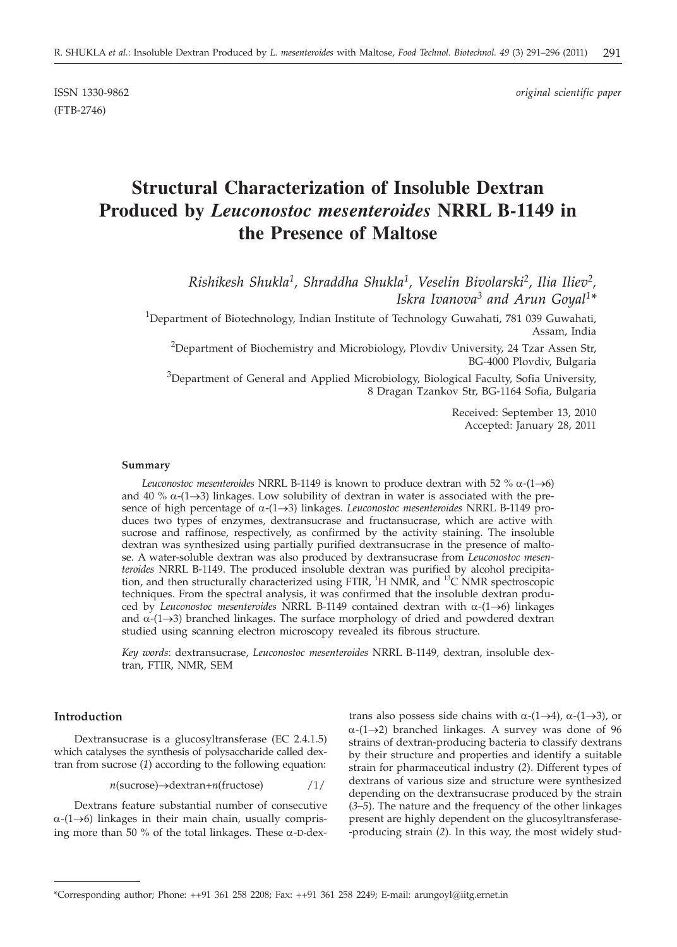ISSN 1330-9862 *original scientific paper*

(FTB-2746)

# **Structural Characterization of Insoluble Dextran Produced by** *Leuconostoc mesenteroides* **NRRL B-1149 in the Presence of Maltose**

*Rishikesh Shukla1, Shraddha Shukla1, Veselin Bivolarski2, Ilia Iliev2, Iskra Ivanova3 and Arun Goyal1\**

 $^1$ Department of Biotechnology, Indian Institute of Technology Guwahati, 781 039 Guwahati, Assam, India

 $^{2}$ Department of Biochemistry and Microbiology, Plovdiv University, 24 Tzar Assen Str, BG-4000 Plovdiv, Bulgaria

 $3$ Department of General and Applied Microbiology, Biological Faculty, Sofia University, 8 Dragan Tzankov Str, BG-1164 Sofia, Bulgaria

> Received: September 13, 2010 Accepted: January 28, 2011

#### **Summary**

*Leuconostoc mesenteroides* NRRL B-1149 is known to produce dextran with 52 %  $\alpha$ -(1 $\rightarrow$ 6) and 40 %  $\alpha$ -(1->3) linkages. Low solubility of dextran in water is associated with the presence of high percentage of  $\alpha$ -(1 $\rightarrow$ 3) linkages. *Leuconostoc mesenteroides* NRRL B-1149 produces two types of enzymes, dextransucrase and fructansucrase, which are active with sucrose and raffinose, respectively, as confirmed by the activity staining. The insoluble dextran was synthesized using partially purified dextransucrase in the presence of maltose. A water-soluble dextran was also produced by dextransucrase from *Leuconostoc mesenteroides* NRRL B-1149. The produced insoluble dextran was purified by alcohol precipitation, and then structurally characterized using FTIR, <sup>1</sup>H NMR, and <sup>13</sup>C NMR spectroscopic techniques. From the spectral analysis, it was confirmed that the insoluble dextran produced by *Leuconostoc mesenteroides* NRRL B-1149 contained dextran with  $\alpha$ -(1 $\rightarrow$ 6) linkages and  $\alpha$ -(1 $\rightarrow$ 3) branched linkages. The surface morphology of dried and powdered dextran studied using scanning electron microscopy revealed its fibrous structure.

*Key words*: dextransucrase, *Leuconostoc mesenteroides* NRRL B-1149*,* dextran, insoluble dextran, FTIR, NMR, SEM

#### **Introduction**

Dextransucrase is a glucosyltransferase (EC 2.4.1.5) which catalyses the synthesis of polysaccharide called dextran from sucrose (*1*) according to the following equation:

$$
n(\text{success}) \rightarrow \text{dextran}+n(\text{fructose})
$$
 /1/

Dextrans feature substantial number of consecutive  $\alpha$ -(1 $\rightarrow$ 6) linkages in their main chain, usually comprising more than 50 % of the total linkages. These  $\alpha$ -D-dex-

trans also possess side chains with  $\alpha$ -(1 $\rightarrow$ 4),  $\alpha$ -(1 $\rightarrow$ 3), or  $\alpha$ -(1 $\rightarrow$ 2) branched linkages. A survey was done of 96 strains of dextran-producing bacteria to classify dextrans by their structure and properties and identify a suitable strain for pharmaceutical industry (*2*). Different types of dextrans of various size and structure were synthesized depending on the dextransucrase produced by the strain (*3–5*). The nature and the frequency of the other linkages present are highly dependent on the glucosyltransferase- -producing strain (*2*). In this way, the most widely stud-

<sup>\*</sup>Corresponding author; Phone: ++91 361 258 2208; Fax: ++91 361 258 2249; E-mail: arungoyl@iitg.ernet.in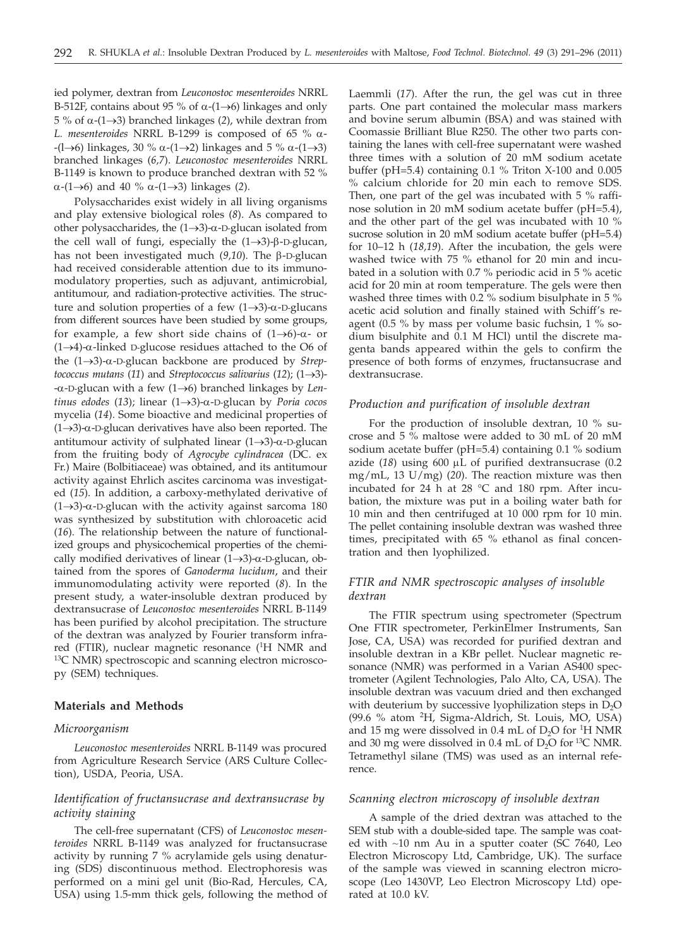ied polymer, dextran from *Leuconostoc mesenteroides* NRRL B-512F, contains about 95 % of  $\alpha$ -(1 $\rightarrow$ 6) linkages and only 5 % of  $\alpha$ -(1→3) branched linkages (2), while dextran from *L. mesenteroides* NRRL B-1299 is composed of 65 % <sup>a</sup>-  $-(1\rightarrow6)$  linkages, 30 %  $\alpha$ -(1 $\rightarrow$ 2) linkages and 5 %  $\alpha$ -(1 $\rightarrow$ 3) branched linkages (*6,7*). *Leuconostoc mesenteroides* NRRL B-1149 is known to produce branched dextran with 52 %  $\alpha$ -(1→6) and 40 %  $\alpha$ -(1→3) linkages (2).

Polysaccharides exist widely in all living organisms and play extensive biological roles (*8*). As compared to other polysaccharides, the  $(1 \rightarrow 3)$ - $\alpha$ -D-glucan isolated from the cell wall of fungi, especially the  $(1\rightarrow3)$ - $\beta$ -D-glucan, has not been investigated much (9,10). The β-D-glucan had received considerable attention due to its immunomodulatory properties, such as adjuvant, antimicrobial, antitumour, and radiation-protective activities. The structure and solution properties of a few  $(1 \rightarrow 3)$ - $\alpha$ -D-glucans from different sources have been studied by some groups, for example, a few short side chains of  $(1 \rightarrow 6)-\alpha$ - or  $(1\rightarrow 4)$ - $\alpha$ -linked D-glucose residues attached to the O6 of the  $(1\rightarrow3)$ - $\alpha$ -D-glucan backbone are produced by *Streptococcus mutans* (11) and *Streptococcus salivarius* (12); (1 $\rightarrow$ 3)- $-\alpha$ -D-glucan with a few (1 $\rightarrow$ 6) branched linkages by *Lentinus edodes* (13); linear (1→3)-α-D-glucan by *Poria cocos* mycelia (*14*). Some bioactive and medicinal properties of  $(1\rightarrow 3)$ -a-D-glucan derivatives have also been reported. The antitumour activity of sulphated linear  $(1 \rightarrow 3)$ - $\alpha$ -D-glucan from the fruiting body of *Agrocybe cylindracea* (DC. ex Fr.) Maire (Bolbitiaceae) was obtained, and its antitumour activity against Ehrlich ascites carcinoma was investigated (*15*). In addition, a carboxy-methylated derivative of  $(1\rightarrow3)$ - $\alpha$ -D-glucan with the activity against sarcoma 180 was synthesized by substitution with chloroacetic acid (*16*). The relationship between the nature of functionalized groups and physicochemical properties of the chemically modified derivatives of linear  $(1 \rightarrow 3)$ - $\alpha$ -D-glucan, obtained from the spores of *Ganoderma lucidum*, and their immunomodulating activity were reported (*8*). In the present study, a water-insoluble dextran produced by dextransucrase of *Leuconostoc mesenteroides* NRRL B-1149 has been purified by alcohol precipitation. The structure of the dextran was analyzed by Fourier transform infrared (FTIR), nuclear magnetic resonance (<sup>1</sup>H NMR and 13C NMR) spectroscopic and scanning electron microscopy (SEM) techniques.

#### **Materials and Methods**

#### *Microorganism*

*Leuconostoc mesenteroides* NRRL B-1149 was procured from Agriculture Research Service (ARS Culture Collection), USDA, Peoria, USA.

## *Identification of fructansucrase and dextransucrase by activity staining*

The cell-free supernatant (CFS) of *Leuconostoc mesenteroides* NRRL B-1149 was analyzed for fructansucrase activity by running 7 % acrylamide gels using denaturing (SDS) discontinuous method. Electrophoresis was performed on a mini gel unit (Bio-Rad, Hercules, CA, USA) using 1.5-mm thick gels, following the method of Laemmli (*17*). After the run, the gel was cut in three parts. One part contained the molecular mass markers and bovine serum albumin (BSA) and was stained with Coomassie Brilliant Blue R250. The other two parts containing the lanes with cell-free supernatant were washed three times with a solution of 20 mM sodium acetate buffer ( $pH=5.4$ ) containing 0.1 % Triton X-100 and 0.005 % calcium chloride for 20 min each to remove SDS. Then, one part of the gel was incubated with 5 % raffinose solution in 20 mM sodium acetate buffer (pH=5.4), and the other part of the gel was incubated with 10 % sucrose solution in 20 mM sodium acetate buffer (pH=5.4) for 10–12 h (*18,19*). After the incubation, the gels were washed twice with 75 % ethanol for 20 min and incubated in a solution with 0.7 % periodic acid in 5 % acetic acid for 20 min at room temperature. The gels were then washed three times with 0.2 % sodium bisulphate in 5 % acetic acid solution and finally stained with Schiff's reagent (0.5 % by mass per volume basic fuchsin, 1 % sodium bisulphite and 0.1 M HCl) until the discrete magenta bands appeared within the gels to confirm the presence of both forms of enzymes, fructansucrase and dextransucrase.

#### *Production and purification of insoluble dextran*

For the production of insoluble dextran, 10 % sucrose and 5 % maltose were added to 30 mL of 20 mM sodium acetate buffer (pH=5.4) containing 0.1 % sodium azide  $(18)$  using  $600 \mu L$  of purified dextransucrase  $(0.2)$ mg/mL, 13 U/mg) (*20*). The reaction mixture was then incubated for 24 h at 28 °C and 180 rpm. After incubation, the mixture was put in a boiling water bath for 10 min and then centrifuged at 10 000 rpm for 10 min. The pellet containing insoluble dextran was washed three times, precipitated with 65 % ethanol as final concentration and then lyophilized.

# *FTIR and NMR spectroscopic analyses of insoluble dextran*

The FTIR spectrum using spectrometer (Spectrum One FTIR spectrometer, PerkinElmer Instruments, San Jose, CA, USA) was recorded for purified dextran and insoluble dextran in a KBr pellet. Nuclear magnetic resonance (NMR) was performed in a Varian AS400 spectrometer (Agilent Technologies, Palo Alto, CA, USA). The insoluble dextran was vacuum dried and then exchanged with deuterium by successive lyophilization steps in  $D_2O$ (99.6 % atom 2H, Sigma-Aldrich, St. Louis, MO, USA) and 15 mg were dissolved in 0.4 mL of  $D_2O$  for <sup>1</sup>H NMR and 30 mg were dissolved in 0.4 mL of  $D_2O$  for <sup>13</sup>C NMR. Tetramethyl silane (TMS) was used as an internal reference.

### *Scanning electron microscopy of insoluble dextran*

A sample of the dried dextran was attached to the SEM stub with a double-sided tape. The sample was coated with ~10 nm Au in a sputter coater (SC 7640, Leo Electron Microscopy Ltd, Cambridge, UK). The surface of the sample was viewed in scanning electron microscope (Leo 1430VP, Leo Electron Microscopy Ltd) operated at 10.0 kV.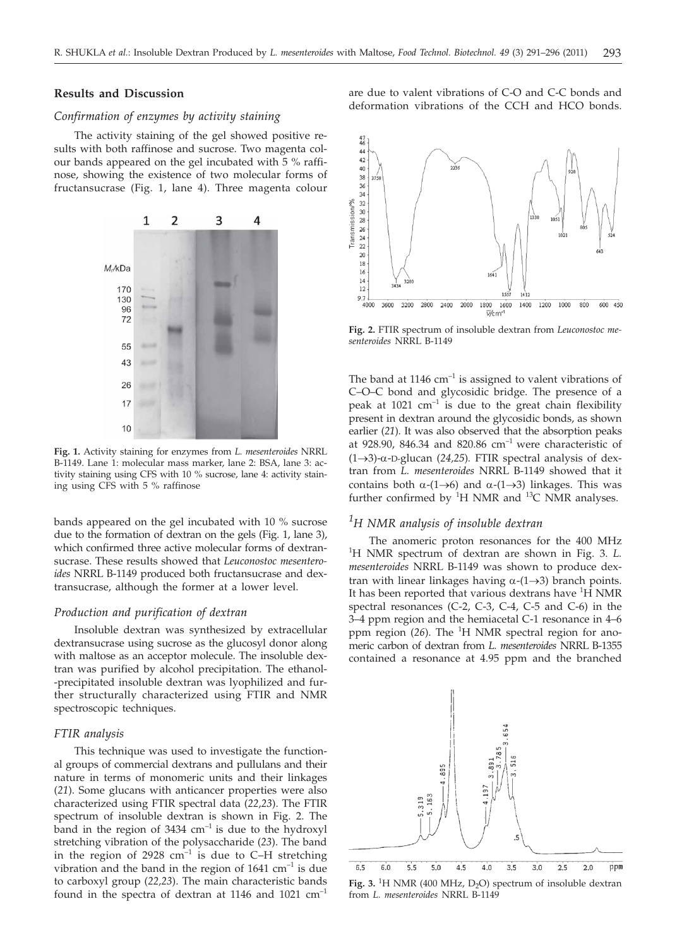#### **Results and Discussion**

#### *Confirmation of enzymes by activity staining*

The activity staining of the gel showed positive results with both raffinose and sucrose. Two magenta colour bands appeared on the gel incubated with 5 % raffinose, showing the existence of two molecular forms of fructansucrase (Fig. 1, lane 4). Three magenta colour



**Fig. 1.** Activity staining for enzymes from *L. mesenteroides* NRRL B-1149. Lane 1: molecular mass marker, lane 2: BSA, lane 3: activity staining using CFS with 10 % sucrose, lane 4: activity staining using CFS with 5 % raffinose

bands appeared on the gel incubated with 10 % sucrose due to the formation of dextran on the gels (Fig. 1, lane 3), which confirmed three active molecular forms of dextransucrase. These results showed that *Leuconostoc mesenteroides* NRRL B-1149 produced both fructansucrase and dextransucrase, although the former at a lower level.

#### *Production and purification of dextran*

Insoluble dextran was synthesized by extracellular dextransucrase using sucrose as the glucosyl donor along with maltose as an acceptor molecule. The insoluble dextran was purified by alcohol precipitation. The ethanol- -precipitated insoluble dextran was lyophilized and further structurally characterized using FTIR and NMR spectroscopic techniques.

#### *FTIR analysis*

This technique was used to investigate the functional groups of commercial dextrans and pullulans and their nature in terms of monomeric units and their linkages (*21*). Some glucans with anticancer properties were also characterized using FTIR spectral data (*22,23*). The FTIR spectrum of insoluble dextran is shown in Fig. 2. The band in the region of  $3434 \text{ cm}^{-1}$  is due to the hydroxyl stretching vibration of the polysaccharide (*23*). The band in the region of 2928  $cm^{-1}$  is due to C–H stretching vibration and the band in the region of  $1641 \text{ cm}^{-1}$  is due to carboxyl group (*22,23*). The main characteristic bands found in the spectra of dextran at 1146 and 1021 cm–1 are due to valent vibrations of C-O and C-C bonds and deformation vibrations of the CCH and HCO bonds.



**Fig. 2.** FTIR spectrum of insoluble dextran from *Leuconostoc mesenteroides* NRRL B-1149

The band at  $1146 \text{ cm}^{-1}$  is assigned to valent vibrations of C–O–C bond and glycosidic bridge. The presence of a peak at  $1021$   $cm^{-1}$  is due to the great chain flexibility present in dextran around the glycosidic bonds, as shown earlier (*21*). It was also observed that the absorption peaks at 928.90, 846.34 and 820.86  $cm^{-1}$  were characteristic of  $(1\rightarrow3)$ - $\alpha$ -D-glucan (24,25). FTIR spectral analysis of dextran from *L. mesenteroides* NRRL B-1149 showed that it contains both  $\alpha$ -(1 $\rightarrow$ 6) and  $\alpha$ -(1 $\rightarrow$ 3) linkages. This was further confirmed by  ${}^{1}H$  NMR and  ${}^{13}C$  NMR analyses.

# *1 H NMR analysis of insoluble dextran*

The anomeric proton resonances for the 400 MHz 1 H NMR spectrum of dextran are shown in Fig. 3. *L. mesenteroides* NRRL B-1149 was shown to produce dextran with linear linkages having  $\alpha$ -(1 $\rightarrow$ 3) branch points. It has been reported that various dextrans have <sup>1</sup>H NMR spectral resonances (C-2, C-3, C-4, C-5 and C-6) in the 3–4 ppm region and the hemiacetal C-1 resonance in 4–6 ppm region (26). The <sup>1</sup>H NMR spectral region for anomeric carbon of dextran from *L. mesenteroides* NRRL B-1355 contained a resonance at 4.95 ppm and the branched



 $5.5$  $5.0$  $4,5$  $4.0$  $3,5$ Fig. 3. <sup>1</sup>H NMR (400 MHz,  $D_2O$ ) spectrum of insoluble dextran from *L. mesenteroides* NRRL B-1149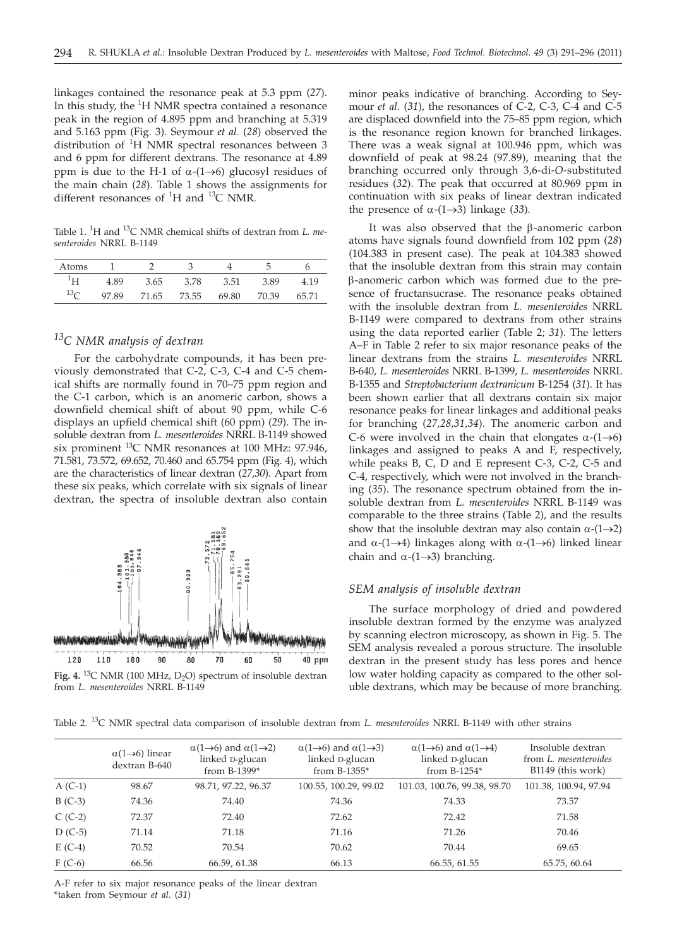linkages contained the resonance peak at 5.3 ppm (*27*). In this study, the <sup>1</sup>H NMR spectra contained a resonance peak in the region of 4.895 ppm and branching at 5.319 and 5.163 ppm (Fig. 3). Seymour *et al.* (*28*) observed the distribution of <sup>1</sup> H NMR spectral resonances between 3 and 6 ppm for different dextrans. The resonance at 4.89 ppm is due to the H-1 of  $\alpha$ -(1→6) glucosyl residues of the main chain (*28*). Table 1 shows the assignments for different resonances of  ${}^{1}H$  and  ${}^{13}C$  NMR.

Table 1. <sup>1</sup>H and <sup>13</sup>C NMR chemical shifts of dextran from *L. mesenteroides* NRRL B-1149

| Atoms      |       |       |       |       |       |  |
|------------|-------|-------|-------|-------|-------|--|
|            | I 89  | 3.65  | 3.78  | 3.51  | 3.89  |  |
| $13\sigma$ | 97.89 | 71.65 | 73.55 | 69.80 | 70.39 |  |

# *13C NMR analysis of dextran*

For the carbohydrate compounds, it has been previously demonstrated that C-2, C-3, C-4 and C-5 chemical shifts are normally found in 70–75 ppm region and the C-1 carbon, which is an anomeric carbon, shows a downfield chemical shift of about 90 ppm, while C-6 displays an upfield chemical shift (60 ppm) (*29*). The insoluble dextran from *L. mesenteroides* NRRL B-1149 showed six prominent 13C NMR resonances at 100 MHz: 97.946, 71.581, 73.572, 69.652, 70.460 and 65.754 ppm (Fig. 4), which are the characteristics of linear dextran (*27,30*). Apart from these six peaks, which correlate with six signals of linear dextran, the spectra of insoluble dextran also contain



Fig. 4. <sup>13</sup>C NMR (100 MHz, D<sub>2</sub>O) spectrum of insoluble dextran from *L. mesenteroides* NRRL B-1149

minor peaks indicative of branching. According to Seymour *et al.* (*31*), the resonances of C-2, C-3, C-4 and C-5 are displaced downfield into the 75–85 ppm region, which is the resonance region known for branched linkages. There was a weak signal at 100.946 ppm, which was downfield of peak at 98.24 (97.89), meaning that the branching occurred only through 3,6-di-*O*-substituted residues (*32*). The peak that occurred at 80.969 ppm in continuation with six peaks of linear dextran indicated the presence of  $\alpha$ -(1 $\rightarrow$ 3) linkage (33).

It was also observed that the  $\beta$ -anomeric carbon atoms have signals found downfield from 102 ppm (*28*) (104.383 in present case). The peak at 104.383 showed that the insoluble dextran from this strain may contain b-anomeric carbon which was formed due to the presence of fructansucrase. The resonance peaks obtained with the insoluble dextran from *L. mesenteroides* NRRL B-1149 were compared to dextrans from other strains using the data reported earlier (Table 2; *31*). The letters A–F in Table 2 refer to six major resonance peaks of the linear dextrans from the strains *L. mesenteroides* NRRL B-640, *L. mesenteroides* NRRL B-1399, *L. mesenteroides* NRRL B-1355 and *Streptobacterium dextranicum* B-1254 (*31*). It has been shown earlier that all dextrans contain six major resonance peaks for linear linkages and additional peaks for branching (*27,28,31,34*). The anomeric carbon and C-6 were involved in the chain that elongates  $\alpha$ -(1 $\rightarrow$ 6) linkages and assigned to peaks A and F, respectively, while peaks B, C, D and E represent C-3, C-2, C-5 and C-4, respectively, which were not involved in the branching (*35*). The resonance spectrum obtained from the insoluble dextran from *L. mesenteroides* NRRL B-1149 was comparable to the three strains (Table 2), and the results show that the insoluble dextran may also contain  $\alpha$ -(1 $\rightarrow$ 2) and  $\alpha$ -(1 $\rightarrow$ 4) linkages along with  $\alpha$ -(1 $\rightarrow$ 6) linked linear chain and  $\alpha$ -(1→3) branching.

#### *SEM analysis of insoluble dextran*

The surface morphology of dried and powdered insoluble dextran formed by the enzyme was analyzed by scanning electron microscopy, as shown in Fig. 5. The SEM analysis revealed a porous structure. The insoluble dextran in the present study has less pores and hence low water holding capacity as compared to the other soluble dextrans, which may be because of more branching.

Table 2. 13C NMR spectral data comparison of insoluble dextran from *L. mesenteroides* NRRL B-1149 with other strains

|           | $\alpha(1\rightarrow 6)$ linear<br>dextran B-640 | $\alpha(1\rightarrow 6)$ and $\alpha(1\rightarrow 2)$<br>linked D-glucan<br>from $B-1399*$ | $\alpha(1\rightarrow 6)$ and $\alpha(1\rightarrow 3)$<br>linked D-glucan<br>from B-1355* | $\alpha(1\rightarrow 6)$ and $\alpha(1\rightarrow 4)$<br>linked D-glucan<br>from $B-1254*$ | Insoluble dextran<br>from L. <i>mesenteroides</i><br>B1149 (this work) |
|-----------|--------------------------------------------------|--------------------------------------------------------------------------------------------|------------------------------------------------------------------------------------------|--------------------------------------------------------------------------------------------|------------------------------------------------------------------------|
| $A (C-1)$ | 98.67                                            | 98.71, 97.22, 96.37                                                                        | 100.55, 100.29, 99.02                                                                    | 101.03, 100.76, 99.38, 98.70                                                               | 101.38, 100.94, 97.94                                                  |
| $B(C-3)$  | 74.36                                            | 74.40                                                                                      | 74.36                                                                                    | 74.33                                                                                      | 73.57                                                                  |
| $C(C-2)$  | 72.37                                            | 72.40                                                                                      | 72.62                                                                                    | 72.42                                                                                      | 71.58                                                                  |
| $D$ (C-5) | 71.14                                            | 71.18                                                                                      | 71.16                                                                                    | 71.26                                                                                      | 70.46                                                                  |
| $E(C-4)$  | 70.52                                            | 70.54                                                                                      | 70.62                                                                                    | 70.44                                                                                      | 69.65                                                                  |
| $F(C-6)$  | 66.56                                            | 66.59, 61.38                                                                               | 66.13                                                                                    | 66.55, 61.55                                                                               | 65.75, 60.64                                                           |

A-F refer to six major resonance peaks of the linear dextran \*taken from Seymour *et al.* (*31*)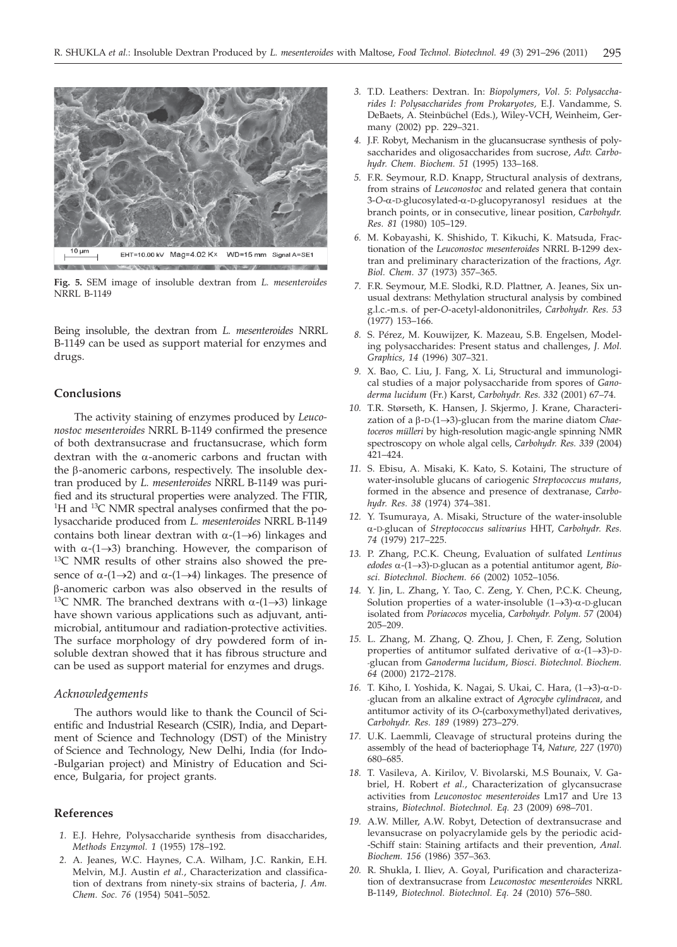

**Fig. 5.** SEM image of insoluble dextran from *L. mesenteroides* **NRRI B-1149** 

Being insoluble, the dextran from *L. mesenteroides* NRRL B-1149 can be used as support material for enzymes and drugs.

# **Conclusions**

The activity staining of enzymes produced by *Leuconostoc mesenteroides* NRRL B-1149 confirmed the presence of both dextransucrase and fructansucrase, which form dextran with the  $\alpha$ -anomeric carbons and fructan with the  $\beta$ -anomeric carbons, respectively. The insoluble dextran produced by *L. mesenteroides* NRRL B-1149 was purified and its structural properties were analyzed. The FTIR, <sup>1</sup>H and <sup>13</sup>C NMR spectral analyses confirmed that the polysaccharide produced from *L. mesenteroides* NRRL B-1149 contains both linear dextran with  $\alpha$ -(1 $\rightarrow$ 6) linkages and with  $\alpha$ -(1 $\rightarrow$ 3) branching. However, the comparison of <sup>13</sup>C NMR results of other strains also showed the presence of  $\alpha$ -(1→2) and  $\alpha$ -(1→4) linkages. The presence of b-anomeric carbon was also observed in the results of <sup>13</sup>C NMR. The branched dextrans with  $\alpha$ -(1 $\rightarrow$ 3) linkage have shown various applications such as adjuvant, antimicrobial, antitumour and radiation-protective activities. The surface morphology of dry powdered form of insoluble dextran showed that it has fibrous structure and can be used as support material for enzymes and drugs.

#### *Acknowledgements*

The authors would like to thank the Council of Scientific and Industrial Research (CSIR), India, and Department of Science and Technology (DST) of the Ministry of Science and Technology, New Delhi, India (for Indo- -Bulgarian project) and Ministry of Education and Science, Bulgaria, for project grants.

#### **References**

- *1.* E.J. Hehre, Polysaccharide synthesis from disaccharides, *Methods Enzymol. 1* (1955) 178–192.
- *2.* A. Jeanes, W.C. Haynes, C.A. Wilham, J.C. Rankin, E.H. Melvin, M.J. Austin *et al.*, Characterization and classification of dextrans from ninety-six strains of bacteria, *J. Am. Chem. Soc. 76* (1954) 5041–5052.
- *3.* T.D. Leathers: Dextran. In: *Biopolymers*, *Vol. 5*: *Polysaccharides I: Polysaccharides from Prokaryotes,* E.J. Vandamme, S. DeBaets, A. Steinbüchel (Eds.), Wiley-VCH, Weinheim, Germany (2002) pp. 229–321.
- *4.* J.F. Robyt, Mechanism in the glucansucrase synthesis of polysaccharides and oligosaccharides from sucrose, *Adv. Carbohydr. Chem. Biochem. 51* (1995) 133–168.
- *5.* F.R. Seymour, R.D. Knapp, Structural analysis of dextrans, from strains of *Leuconostoc* and related genera that contain 3-*O*-a-D-glucosylated-a-D-glucopyranosyl residues at the branch points, or in consecutive, linear position, *Carbohydr. Res. 81* (1980) 105–129.
- *6.* M. Kobayashi, K. Shishido, T. Kikuchi, K. Matsuda*,* Fractionation of the *Leuconostoc mesenteroides* NRRL B-1299 dextran and preliminary characterization of the fractions*, Agr. Biol. Chem. 37* (1973) 357–365.
- *7.* F.R. Seymour, M.E. Slodki, R.D. Plattner, A. Jeanes, Six unusual dextrans: Methylation structural analysis by combined g.l.c.-m.s. of per-*O*-acetyl-aldononitriles, *Carbohydr. Res. 53* (1977) 153–166.
- *8.* S. Pérez, M. Kouwijzer, K. Mazeau, S.B. Engelsen, Modeling polysaccharides: Present status and challenges, *J. Mol. Graphics, 14* (1996) 307–321.
- *9.* X. Bao, C. Liu, J. Fang, X. Li, Structural and immunological studies of a major polysaccharide from spores of *Ganoderma lucidum* (Fr.) Karst, *Carbohydr. Res. 332* (2001) 67–74.
- *10.* T.R. Størseth, K. Hansen, J. Skjermo, J. Krane, Characterization of a  $\beta$ -D- $(1\rightarrow 3)$ -glucan from the marine diatom *Chaetoceros mülleri* by high-resolution magic-angle spinning NMR spectroscopy on whole algal cells, *Carbohydr. Res. 339* (2004) 421–424.
- *11.* S. Ebisu, A. Misaki, K. Kato, S. Kotaini, The structure of water-insoluble glucans of cariogenic *Streptococcus mutans*, formed in the absence and presence of dextranase, *Carbohydr. Res. 38* (1974) 374–381.
- *12.* Y. Tsumuraya, A. Misaki, Structure of the water-insoluble <sup>a</sup>-D-glucan of *Streptococcus salivarius* HHT, *Carbohydr. Res. 74* (1979) 217–225.
- *13.* P. Zhang, P.C.K. Cheung, Evaluation of sulfated *Lentinus*  $edodes \alpha-(1\rightarrow3)$ -D-glucan as a potential antitumor agent, *Biosci. Biotechnol. Biochem. 66* (2002) 1052–1056.
- *14.* Y. Jin, L. Zhang, Y. Tao, C. Zeng, Y. Chen, P.C.K. Cheung, Solution properties of a water-insoluble  $(1 \rightarrow 3)$ - $\alpha$ -D-glucan isolated from *Poriacocos* mycelia, *Carbohydr. Polym. 57* (2004) 205–209.
- *15.* L. Zhang, M. Zhang, Q. Zhou, J. Chen, F. Zeng, Solution properties of antitumor sulfated derivative of  $\alpha$ -(1 $\rightarrow$ 3)-D--glucan from *Ganoderma lucidum*, *Biosci. Biotechnol. Biochem. 64* (2000) 2172–2178.
- 16. T. Kiho, I. Yoshida, K. Nagai, S. Ukai, C. Hara, (1→3)-α-D--glucan from an alkaline extract of *Agrocybe cylindracea*, and antitumor activity of its *O*-(carboxymethyl)ated derivatives, *Carbohydr. Res. 189* (1989) 273–279.
- *17.* U.K. Laemmli, Cleavage of structural proteins during the assembly of the head of bacteriophage T4, *Nature, 227* (1970) 680–685.
- *18.* T. Vasileva, A. Kirilov, V. Bivolarski, M.S Bounaix, V. Gabriel, H. Robert *et al.*, Characterization of glycansucrase activities from *Leuconostoc mesenteroides* Lm17 and Ure 13 strains, *Biotechnol. Biotechnol. Eq. 23* (2009) 698–701.
- *19.* A.W. Miller, A.W. Robyt, Detection of dextransucrase and levansucrase on polyacrylamide gels by the periodic acid- -Schiff stain: Staining artifacts and their prevention, *Anal. Biochem. 156* (1986) 357–363.
- *20.* R. Shukla, I. Iliev, A. Goyal, Purification and characterization of dextransucrase from *Leuconostoc mesenteroides* NRRL B-1149, *Biotechnol. Biotechnol. Eq. 24* (2010) 576–580.